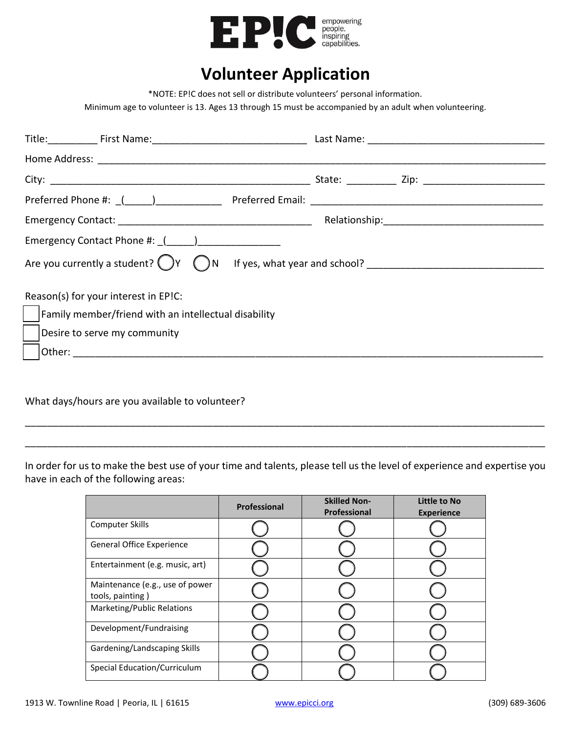

## **Volunteer Application**

\*NOTE: EP!C does not sell or distribute volunteers' personal information.

Minimum age to volunteer is 13. Ages 13 through 15 must be accompanied by an adult when volunteering.

| Emergency Contact Phone #: ((1) 2022 2022 2022 2023                  |  |  |  |
|----------------------------------------------------------------------|--|--|--|
|                                                                      |  |  |  |
| Reason(s) for your interest in EP!C:                                 |  |  |  |
| $\vert \ \vert$ Family member/friend with an intellectual disability |  |  |  |
| Desire to serve my community                                         |  |  |  |
|                                                                      |  |  |  |

What days/hours are you available to volunteer?

In order for us to make the best use of your time and talents, please tell us the level of experience and expertise you have in each of the following areas:

\_\_\_\_\_\_\_\_\_\_\_\_\_\_\_\_\_\_\_\_\_\_\_\_\_\_\_\_\_\_\_\_\_\_\_\_\_\_\_\_\_\_\_\_\_\_\_\_\_\_\_\_\_\_\_\_\_\_\_\_\_\_\_\_\_\_\_\_\_\_\_\_\_\_\_\_\_\_\_\_\_\_\_\_\_\_\_\_\_\_\_\_\_\_

\_\_\_\_\_\_\_\_\_\_\_\_\_\_\_\_\_\_\_\_\_\_\_\_\_\_\_\_\_\_\_\_\_\_\_\_\_\_\_\_\_\_\_\_\_\_\_\_\_\_\_\_\_\_\_\_\_\_\_\_\_\_\_\_\_\_\_\_\_\_\_\_\_\_\_\_\_\_\_\_\_\_\_\_\_\_\_\_\_\_\_\_\_\_

|                                                     | Professional | <b>Skilled Non-</b><br>Professional | Little to No<br><b>Experience</b> |
|-----------------------------------------------------|--------------|-------------------------------------|-----------------------------------|
| <b>Computer Skills</b>                              |              |                                     |                                   |
| <b>General Office Experience</b>                    |              |                                     |                                   |
| Entertainment (e.g. music, art)                     |              |                                     |                                   |
| Maintenance (e.g., use of power<br>tools, painting) |              |                                     |                                   |
| Marketing/Public Relations                          |              |                                     |                                   |
| Development/Fundraising                             |              |                                     |                                   |
| Gardening/Landscaping Skills                        |              |                                     |                                   |
| Special Education/Curriculum                        |              |                                     |                                   |